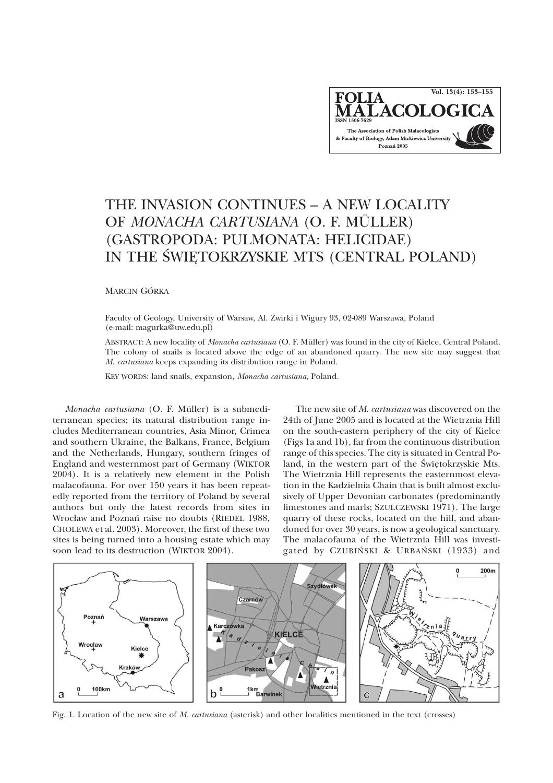

## THE INVASION CONTINUES – A NEW LOCALITY OF *MONACHA CARTUSIANA* (O. F. MÜLLER) (GASTROPODA: PULMONATA: HELICIDAE) IN THE ŚWIĘTOKRZYSKIE MTS (CENTRAL POLAND)

MARCIN GÓRKA

Faculty of Geology, University of Warsaw, Al. Żwirki i Wigury 93, 02-089 Warszawa, Poland (e-mail: magurka@uw.edu.pl)

ABSTRACT: A new locality of *Monacha cartusiana* (O. F. Müller) was found in the city of Kielce, Central Poland. The colony of snails is located above the edge of an abandoned quarry. The new site may suggest that *M*. *cartusiana* keeps expanding its distribution range in Poland.

KEY WORDS: land snails, expansion, *Monacha cartusiana*, Poland.

*Monacha cartusiana* (O. F. Müller) is a submediterranean species; its natural distribution range includes Mediterranean countries, Asia Minor, Crimea and southern Ukraine, the Balkans, France, Belgium and the Netherlands, Hungary, southern fringes of England and westernmost part of Germany (WIKTOR 2004). It is a relatively new element in the Polish malacofauna. For over 150 years it has been repeatedly reported from the territory of Poland by several authors but only the latest records from sites in Wrocław and Poznań raise no doubts (RIEDEL 1988, CHOLEWA et al. 2003). Moreover, the first of these two sites is being turned into a housing estate which may soon lead to its destruction (WIKTOR 2004).

The new site of *M*. *cartusiana* was discovered on the 24th of June 2005 and is located at the Wietrznia Hill on the south-eastern periphery of the city of Kielce (Figs 1a and 1b), far from the continuous distribution range of this species. The city is situated in Central Poland, in the western part of the Świętokrzyskie Mts. The Wietrznia Hill represents the easternmost elevation in the Kadzielnia Chain that is built almost exclusively of Upper Devonian carbonates (predominantly limestones and marls; SZULCZEWSKI 1971). The large quarry of these rocks, located on the hill, and abandoned for over 30 years, is now a geological sanctuary. The malacofauna of the Wietrznia Hill was investigated by CZUBIÑSKI & URBAÑSKI (1933) and



Fig. 1. Location of the new site of *M. cartusiana* (asterisk) and other localities mentioned in the text (crosses)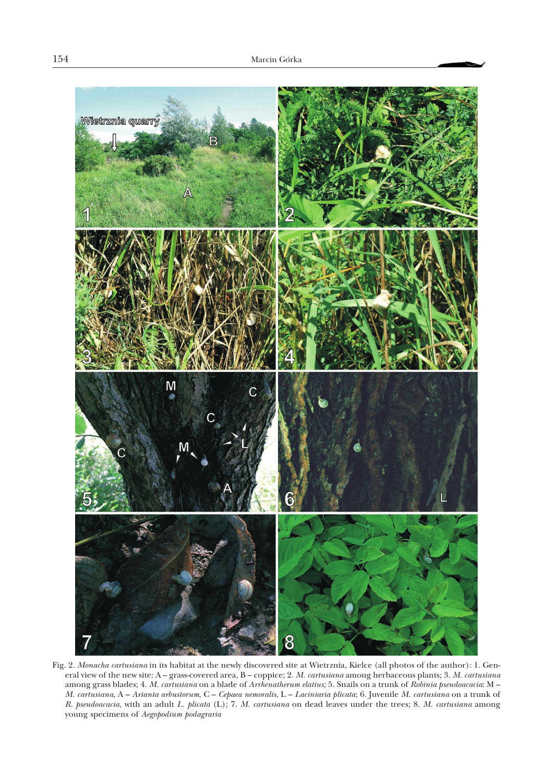

Fig. 2. *Monacha cartusiana* in its habitat at the newly discovered site at Wietrznia, Kielce (all photos of the author): 1. General view of the new site: A – grass-covered area, B – coppice; 2. *M. cartusiana* among herbaceous plants; 3. *M. cartusiana* among grass blades; 4. *M. cartusiana* on a blade of *Arrhenatherum elatius;* 5. Snails on a trunk of *Robinia pseudoacacia*:M– *M. cartusiana*,A– *Arianta arbustorum*,C– *Cepaea nemoralis*,L– *Laciniaria plicata*; 6. Juvenile *M. cartusiana* on a trunk of *R. pseudoacacia*, with an adult *L. plicata* (L); 7. *M. cartusiana* on dead leaves under the trees; 8. *M. cartusiana* among young specimens of *Aegopodium podagraria*